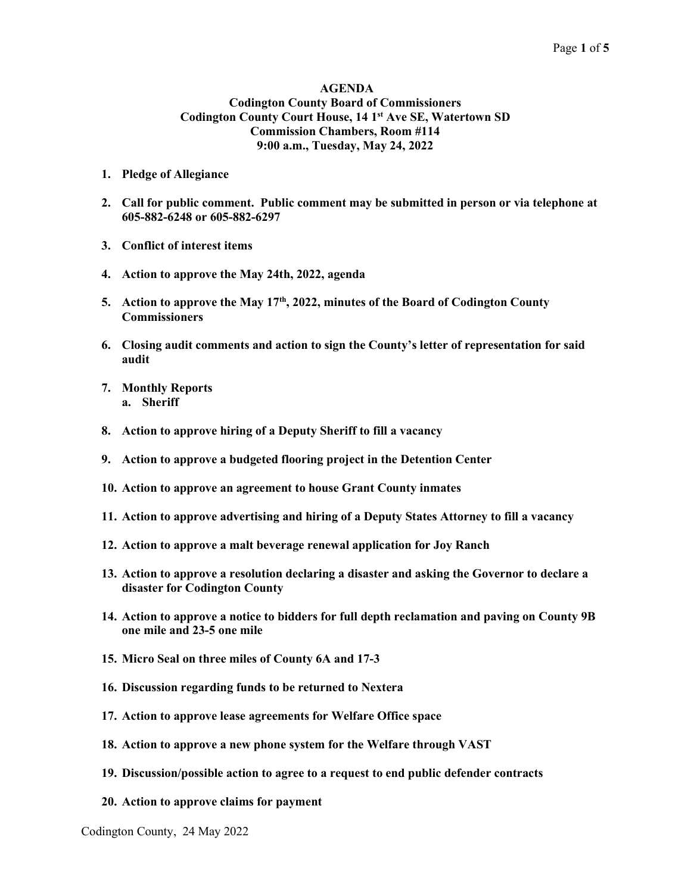#### AGENDA Codington County Board of Commissioners Codington County Court House, 14 1<sup>st</sup> Ave SE, Watertown SD Commission Chambers, Room #114 9:00 a.m., Tuesday, May 24, 2022

- 1. Pledge of Allegiance
- 2. Call for public comment. Public comment may be submitted in person or via telephone at 605-882-6248 or 605-882-6297
- 3. Conflict of interest items
- 4. Action to approve the May 24th, 2022, agenda
- 5. Action to approve the May  $17<sup>th</sup>$ , 2022, minutes of the Board of Codington County **Commissioners**
- 6. Closing audit comments and action to sign the County's letter of representation for said audit
- 7. Monthly Reports a. Sheriff
- 8. Action to approve hiring of a Deputy Sheriff to fill a vacancy
- 9. Action to approve a budgeted flooring project in the Detention Center
- 10. Action to approve an agreement to house Grant County inmates
- 11. Action to approve advertising and hiring of a Deputy States Attorney to fill a vacancy
- 12. Action to approve a malt beverage renewal application for Joy Ranch
- 13. Action to approve a resolution declaring a disaster and asking the Governor to declare a disaster for Codington County
- 14. Action to approve a notice to bidders for full depth reclamation and paving on County 9B one mile and 23-5 one mile
- 15. Micro Seal on three miles of County 6A and 17-3
- 16. Discussion regarding funds to be returned to Nextera
- 17. Action to approve lease agreements for Welfare Office space
- 18. Action to approve a new phone system for the Welfare through VAST
- 19. Discussion/possible action to agree to a request to end public defender contracts
- 20. Action to approve claims for payment

Codington County, 24 May 2022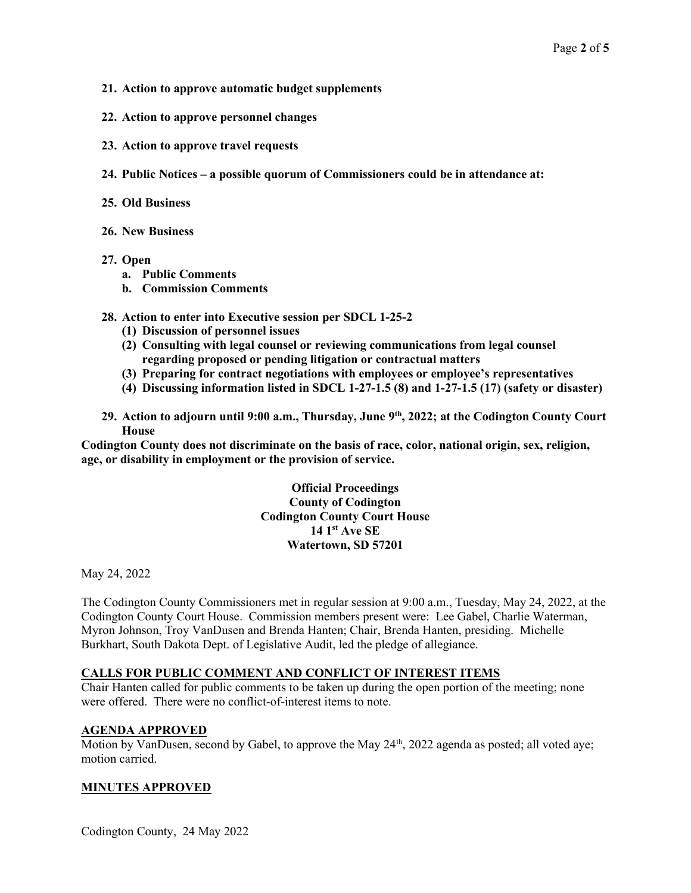- 21. Action to approve automatic budget supplements
- 22. Action to approve personnel changes
- 23. Action to approve travel requests
- 24. Public Notices a possible quorum of Commissioners could be in attendance at:
- 25. Old Business
- 26. New Business
- 27. Open
	- a. Public Comments
	- b. Commission Comments
- 28. Action to enter into Executive session per SDCL 1-25-2
	- (1) Discussion of personnel issues
	- (2) Consulting with legal counsel or reviewing communications from legal counsel regarding proposed or pending litigation or contractual matters
	- (3) Preparing for contract negotiations with employees or employee's representatives
	- (4) Discussing information listed in SDCL 1-27-1.5 (8) and 1-27-1.5 (17) (safety or disaster)
- 29. Action to adjourn until 9:00 a.m., Thursday, June  $9<sup>th</sup>$ , 2022; at the Codington County Court House

Codington County does not discriminate on the basis of race, color, national origin, sex, religion, age, or disability in employment or the provision of service.

> Official Proceedings County of Codington Codington County Court House  $14 \,$  1st Ave SE Watertown, SD 57201

May 24, 2022

The Codington County Commissioners met in regular session at 9:00 a.m., Tuesday, May 24, 2022, at the Codington County Court House. Commission members present were: Lee Gabel, Charlie Waterman, Myron Johnson, Troy VanDusen and Brenda Hanten; Chair, Brenda Hanten, presiding. Michelle Burkhart, South Dakota Dept. of Legislative Audit, led the pledge of allegiance.

### CALLS FOR PUBLIC COMMENT AND CONFLICT OF INTEREST ITEMS

Chair Hanten called for public comments to be taken up during the open portion of the meeting; none were offered. There were no conflict-of-interest items to note.

#### AGENDA APPROVED

Motion by VanDusen, second by Gabel, to approve the May 24<sup>th</sup>, 2022 agenda as posted; all voted aye; motion carried.

### MINUTES APPROVED

Codington County, 24 May 2022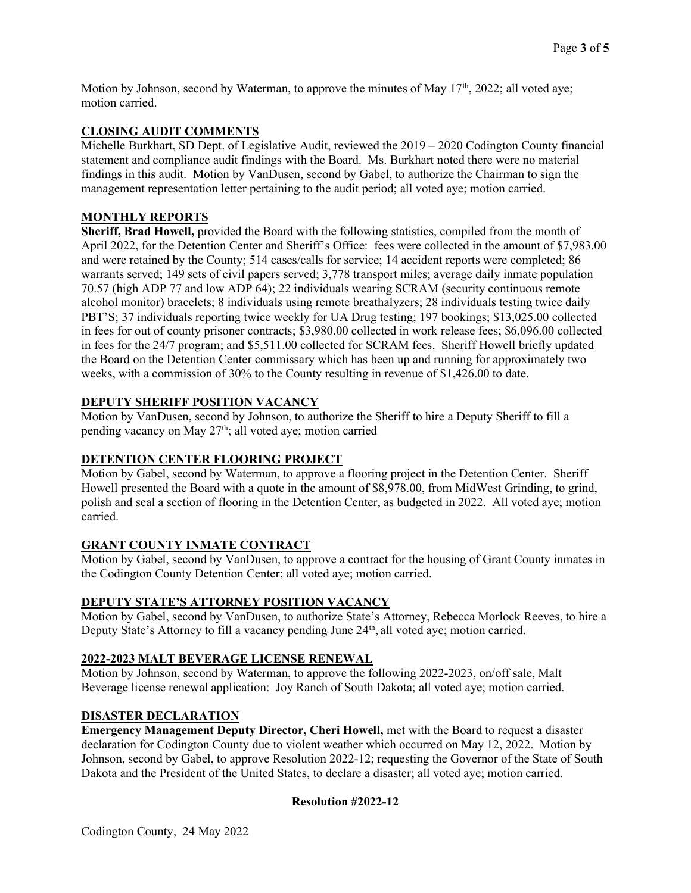Motion by Johnson, second by Waterman, to approve the minutes of May  $17<sup>th</sup>$ , 2022; all voted aye; motion carried.

## CLOSING AUDIT COMMENTS

Michelle Burkhart, SD Dept. of Legislative Audit, reviewed the 2019 – 2020 Codington County financial statement and compliance audit findings with the Board. Ms. Burkhart noted there were no material findings in this audit. Motion by VanDusen, second by Gabel, to authorize the Chairman to sign the management representation letter pertaining to the audit period; all voted aye; motion carried.

## MONTHLY REPORTS

Sheriff, Brad Howell, provided the Board with the following statistics, compiled from the month of April 2022, for the Detention Center and Sheriff's Office: fees were collected in the amount of \$7,983.00 and were retained by the County; 514 cases/calls for service; 14 accident reports were completed; 86 warrants served; 149 sets of civil papers served; 3,778 transport miles; average daily inmate population 70.57 (high ADP 77 and low ADP 64); 22 individuals wearing SCRAM (security continuous remote alcohol monitor) bracelets; 8 individuals using remote breathalyzers; 28 individuals testing twice daily PBT'S; 37 individuals reporting twice weekly for UA Drug testing; 197 bookings; \$13,025.00 collected in fees for out of county prisoner contracts; \$3,980.00 collected in work release fees; \$6,096.00 collected in fees for the 24/7 program; and \$5,511.00 collected for SCRAM fees. Sheriff Howell briefly updated the Board on the Detention Center commissary which has been up and running for approximately two weeks, with a commission of 30% to the County resulting in revenue of \$1,426.00 to date.

## DEPUTY SHERIFF POSITION VACANCY

Motion by VanDusen, second by Johnson, to authorize the Sheriff to hire a Deputy Sheriff to fill a pending vacancy on May  $27<sup>th</sup>$ ; all voted aye; motion carried

### DETENTION CENTER FLOORING PROJECT

Motion by Gabel, second by Waterman, to approve a flooring project in the Detention Center. Sheriff Howell presented the Board with a quote in the amount of \$8,978.00, from MidWest Grinding, to grind, polish and seal a section of flooring in the Detention Center, as budgeted in 2022. All voted aye; motion carried.

# GRANT COUNTY INMATE CONTRACT

Motion by Gabel, second by VanDusen, to approve a contract for the housing of Grant County inmates in the Codington County Detention Center; all voted aye; motion carried.

### DEPUTY STATE'S ATTORNEY POSITION VACANCY

Motion by Gabel, second by VanDusen, to authorize State's Attorney, Rebecca Morlock Reeves, to hire a Deputy State's Attorney to fill a vacancy pending June 24<sup>th</sup>, all voted aye; motion carried.

### 2022-2023 MALT BEVERAGE LICENSE RENEWAL

Motion by Johnson, second by Waterman, to approve the following 2022-2023, on/off sale, Malt Beverage license renewal application: Joy Ranch of South Dakota; all voted aye; motion carried.

## DISASTER DECLARATION

Emergency Management Deputy Director, Cheri Howell, met with the Board to request a disaster declaration for Codington County due to violent weather which occurred on May 12, 2022. Motion by Johnson, second by Gabel, to approve Resolution 2022-12; requesting the Governor of the State of South Dakota and the President of the United States, to declare a disaster; all voted aye; motion carried.

### Resolution #2022-12

Codington County, 24 May 2022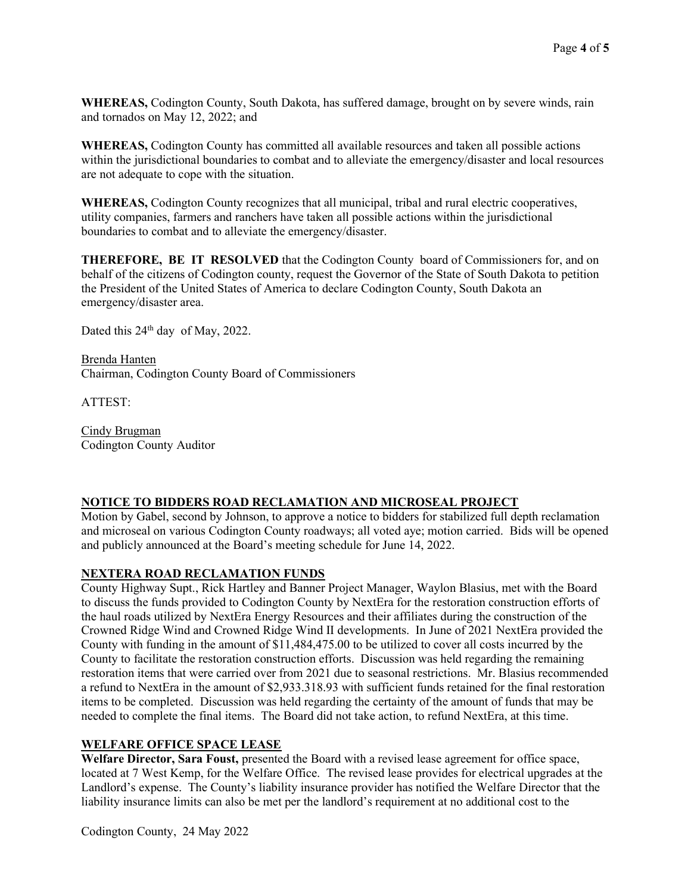WHEREAS, Codington County, South Dakota, has suffered damage, brought on by severe winds, rain and tornados on May 12, 2022; and

WHEREAS, Codington County has committed all available resources and taken all possible actions within the jurisdictional boundaries to combat and to alleviate the emergency/disaster and local resources are not adequate to cope with the situation.

WHEREAS, Codington County recognizes that all municipal, tribal and rural electric cooperatives, utility companies, farmers and ranchers have taken all possible actions within the jurisdictional boundaries to combat and to alleviate the emergency/disaster.

THEREFORE, BE IT RESOLVED that the Codington County board of Commissioners for, and on behalf of the citizens of Codington county, request the Governor of the State of South Dakota to petition the President of the United States of America to declare Codington County, South Dakota an emergency/disaster area.

Dated this 24<sup>th</sup> day of May, 2022.

Brenda Hanten Chairman, Codington County Board of Commissioners

ATTEST:

Cindy Brugman Codington County Auditor

### NOTICE TO BIDDERS ROAD RECLAMATION AND MICROSEAL PROJECT

Motion by Gabel, second by Johnson, to approve a notice to bidders for stabilized full depth reclamation and microseal on various Codington County roadways; all voted aye; motion carried. Bids will be opened and publicly announced at the Board's meeting schedule for June 14, 2022.

### NEXTERA ROAD RECLAMATION FUNDS

County Highway Supt., Rick Hartley and Banner Project Manager, Waylon Blasius, met with the Board to discuss the funds provided to Codington County by NextEra for the restoration construction efforts of the haul roads utilized by NextEra Energy Resources and their affiliates during the construction of the Crowned Ridge Wind and Crowned Ridge Wind II developments. In June of 2021 NextEra provided the County with funding in the amount of \$11,484,475.00 to be utilized to cover all costs incurred by the County to facilitate the restoration construction efforts. Discussion was held regarding the remaining restoration items that were carried over from 2021 due to seasonal restrictions. Mr. Blasius recommended a refund to NextEra in the amount of \$2,933.318.93 with sufficient funds retained for the final restoration items to be completed. Discussion was held regarding the certainty of the amount of funds that may be needed to complete the final items. The Board did not take action, to refund NextEra, at this time.

# WELFARE OFFICE SPACE LEASE

Welfare Director, Sara Foust, presented the Board with a revised lease agreement for office space, located at 7 West Kemp, for the Welfare Office. The revised lease provides for electrical upgrades at the Landlord's expense. The County's liability insurance provider has notified the Welfare Director that the liability insurance limits can also be met per the landlord's requirement at no additional cost to the